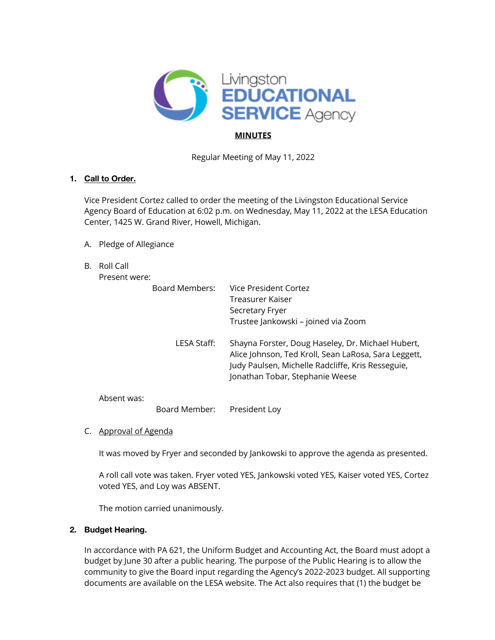

# **MINUTES**

Regular Meeting of May 11, 2022

## **1. Call to Order.**

Vice President Cortez called to order the meeting of the Livingston Educational Service Agency Board of Education at 6:02 p.m. on Wednesday, May 11, 2022 at the LESA Education Center, 1425 W. Grand River, Howell, Michigan.

- A. Pledge of Allegiance
- B. Roll Call

Present were:

| Board Members: | Vice President Cortez<br>Treasurer Kaiser<br>Secretary Fryer<br>Trustee Jankowski - joined via Zoom                                                                                               |
|----------------|---------------------------------------------------------------------------------------------------------------------------------------------------------------------------------------------------|
| LESA Staff:    | Shayna Forster, Doug Haseley, Dr. Michael Hubert,<br>Alice Johnson, Ted Kroll, Sean LaRosa, Sara Leggett,<br>Judy Paulsen, Michelle Radcliffe, Kris Resseguie,<br>Jonathan Tobar, Stephanie Weese |
|                |                                                                                                                                                                                                   |

Absent was:

Board Member: President Loy

C. Approval of Agenda

It was moved by Fryer and seconded by Jankowski to approve the agenda as presented.

A roll call vote was taken. Fryer voted YES, Jankowski voted YES, Kaiser voted YES, Cortez voted YES, and Loy was ABSENT.

The motion carried unanimously.

## **2. Budget Hearing.**

In accordance with PA 621, the Uniform Budget and Accounting Act, the Board must adopt a budget by June 30 after a public hearing. The purpose of the Public Hearing is to allow the community to give the Board input regarding the Agency's 2022-2023 budget. All supporting documents are available on the LESA website. The Act also requires that (1) the budget be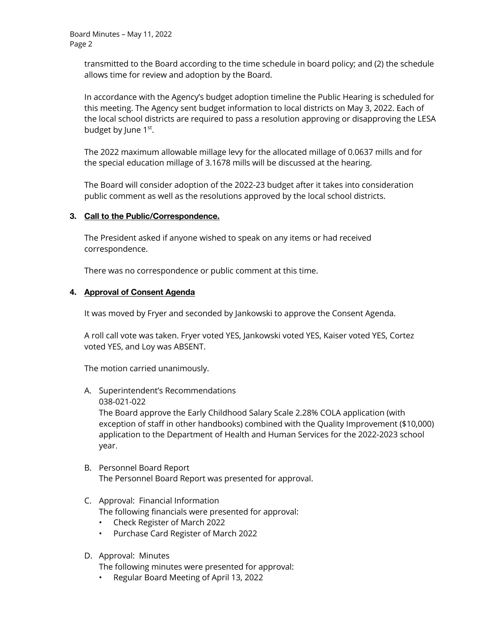transmitted to the Board according to the time schedule in board policy; and (2) the schedule allows time for review and adoption by the Board.

In accordance with the Agency's budget adoption timeline the Public Hearing is scheduled for this meeting. The Agency sent budget information to local districts on May 3, 2022. Each of the local school districts are required to pass a resolution approving or disapproving the LESA budget by June 1<sup>st</sup>.

The 2022 maximum allowable millage levy for the allocated millage of 0.0637 mills and for the special education millage of 3.1678 mills will be discussed at the hearing.

The Board will consider adoption of the 2022-23 budget after it takes into consideration public comment as well as the resolutions approved by the local school districts.

## **3. Call to the Public/Correspondence.**

The President asked if anyone wished to speak on any items or had received correspondence.

There was no correspondence or public comment at this time.

## **4. Approval of Consent Agenda**

It was moved by Fryer and seconded by Jankowski to approve the Consent Agenda.

A roll call vote was taken. Fryer voted YES, Jankowski voted YES, Kaiser voted YES, Cortez voted YES, and Loy was ABSENT.

The motion carried unanimously.

- A. Superintendent's Recommendations
	- 038-021-022

The Board approve the Early Childhood Salary Scale 2.28% COLA application (with exception of staff in other handbooks) combined with the Quality Improvement (\$10,000) application to the Department of Health and Human Services for the 2022-2023 school year.

## B. Personnel Board Report The Personnel Board Report was presented for approval.

## C. Approval: Financial Information

The following financials were presented for approval:

- Check Register of March 2022
- Purchase Card Register of March 2022
- D. Approval: Minutes

The following minutes were presented for approval:

• Regular Board Meeting of April 13, 2022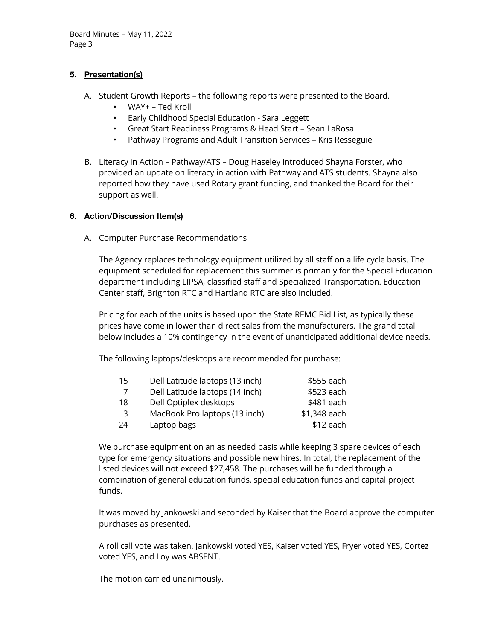## **5. Presentation(s)**

- A. Student Growth Reports the following reports were presented to the Board.
	- WAY+ Ted Kroll
	- Early Childhood Special Education Sara Leggett
	- Great Start Readiness Programs & Head Start Sean LaRosa
	- Pathway Programs and Adult Transition Services Kris Resseguie
- B. Literacy in Action Pathway/ATS Doug Haseley introduced Shayna Forster, who provided an update on literacy in action with Pathway and ATS students. Shayna also reported how they have used Rotary grant funding, and thanked the Board for their support as well.

## **6. Action/Discussion Item(s)**

A. Computer Purchase Recommendations

The Agency replaces technology equipment utilized by all staff on a life cycle basis. The equipment scheduled for replacement this summer is primarily for the Special Education department including LIPSA, classified staff and Specialized Transportation. Education Center staff, Brighton RTC and Hartland RTC are also included.

Pricing for each of the units is based upon the State REMC Bid List, as typically these prices have come in lower than direct sales from the manufacturers. The grand total below includes a 10% contingency in the event of unanticipated additional device needs.

The following laptops/desktops are recommended for purchase:

| 15  | Dell Latitude laptops (13 inch) | \$555 each   |
|-----|---------------------------------|--------------|
| -7  | Dell Latitude laptops (14 inch) | \$523 each   |
| 18  | Dell Optiplex desktops          | \$481 each   |
| -3  | MacBook Pro laptops (13 inch)   | \$1,348 each |
| -24 | Laptop bags                     | \$12 each    |

We purchase equipment on an as needed basis while keeping 3 spare devices of each type for emergency situations and possible new hires. In total, the replacement of the listed devices will not exceed \$27,458. The purchases will be funded through a combination of general education funds, special education funds and capital project funds.

It was moved by Jankowski and seconded by Kaiser that the Board approve the computer purchases as presented.

A roll call vote was taken. Jankowski voted YES, Kaiser voted YES, Fryer voted YES, Cortez voted YES, and Loy was ABSENT.

The motion carried unanimously.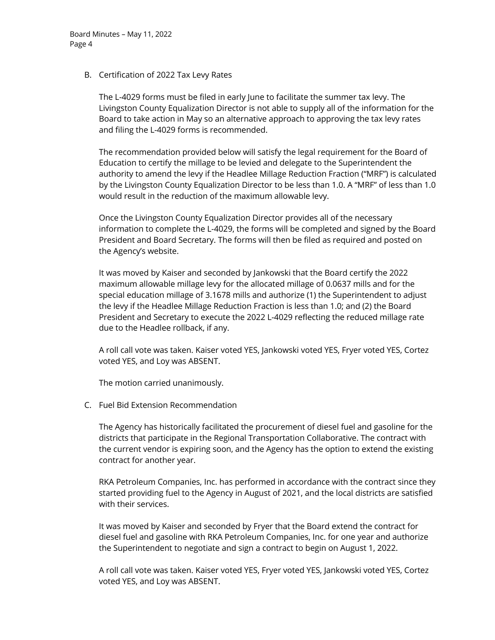#### B. Certification of 2022 Tax Levy Rates

The L-4029 forms must be filed in early June to facilitate the summer tax levy. The Livingston County Equalization Director is not able to supply all of the information for the Board to take action in May so an alternative approach to approving the tax levy rates and filing the L-4029 forms is recommended.

The recommendation provided below will satisfy the legal requirement for the Board of Education to certify the millage to be levied and delegate to the Superintendent the authority to amend the levy if the Headlee Millage Reduction Fraction ("MRF") is calculated by the Livingston County Equalization Director to be less than 1.0. A "MRF" of less than 1.0 would result in the reduction of the maximum allowable levy.

Once the Livingston County Equalization Director provides all of the necessary information to complete the L-4029, the forms will be completed and signed by the Board President and Board Secretary. The forms will then be filed as required and posted on the Agency's website.

It was moved by Kaiser and seconded by Jankowski that the Board certify the 2022 maximum allowable millage levy for the allocated millage of 0.0637 mills and for the special education millage of 3.1678 mills and authorize (1) the Superintendent to adjust the levy if the Headlee Millage Reduction Fraction is less than 1.0; and (2) the Board President and Secretary to execute the 2022 L-4029 reflecting the reduced millage rate due to the Headlee rollback, if any.

A roll call vote was taken. Kaiser voted YES, Jankowski voted YES, Fryer voted YES, Cortez voted YES, and Loy was ABSENT.

The motion carried unanimously.

C. Fuel Bid Extension Recommendation

The Agency has historically facilitated the procurement of diesel fuel and gasoline for the districts that participate in the Regional Transportation Collaborative. The contract with the current vendor is expiring soon, and the Agency has the option to extend the existing contract for another year.

RKA Petroleum Companies, Inc. has performed in accordance with the contract since they started providing fuel to the Agency in August of 2021, and the local districts are satisfied with their services.

It was moved by Kaiser and seconded by Fryer that the Board extend the contract for diesel fuel and gasoline with RKA Petroleum Companies, Inc. for one year and authorize the Superintendent to negotiate and sign a contract to begin on August 1, 2022.

A roll call vote was taken. Kaiser voted YES, Fryer voted YES, Jankowski voted YES, Cortez voted YES, and Loy was ABSENT.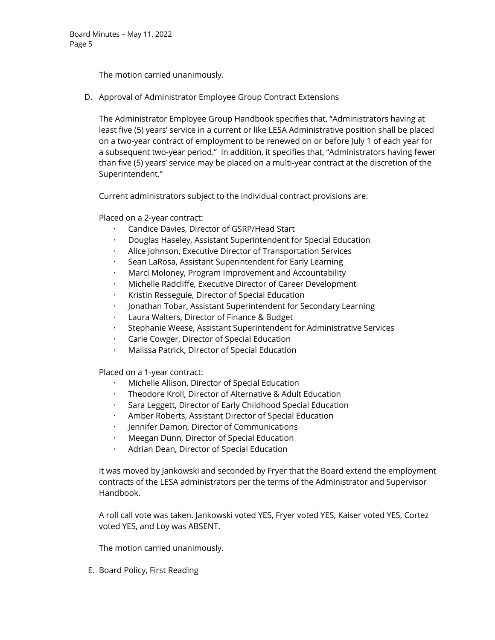The motion carried unanimously.

D. Approval of Administrator Employee Group Contract Extensions

The Administrator Employee Group Handbook specifies that, "Administrators having at least five (5) years' service in a current or like LESA Administrative position shall be placed on a two-year contract of employment to be renewed on or before July 1 of each year for a subsequent two-year period." In addition, it specifies that, "Administrators having fewer than five (5) years' service may be placed on a multi-year contract at the discretion of the Superintendent."

Current administrators subject to the individual contract provisions are:

Placed on a 2-year contract:

- · Candice Davies, Director of GSRP/Head Start
- · Douglas Haseley, Assistant Superintendent for Special Education
- Alice Johnson, Executive Director of Transportation Services
- · Sean LaRosa, Assistant Superintendent for Early Learning
- · Marci Moloney, Program Improvement and Accountability
- · Michelle Radcliffe, Executive Director of Career Development
- · Kristin Resseguie, Director of Special Education
- · Jonathan Tobar, Assistant Superintendent for Secondary Learning
- Laura Walters, Director of Finance & Budget
- · Stephanie Weese, Assistant Superintendent for Administrative Services
- · Carie Cowger, Director of Special Education
- · Malissa Patrick, Director of Special Education

Placed on a 1-year contract:

- Michelle Allison, Director of Special Education
- · Theodore Kroll, Director of Alternative & Adult Education
- · Sara Leggett, Director of Early Childhood Special Education
- · Amber Roberts, Assistant Director of Special Education
- · Jennifer Damon, Director of Communications
- · Meegan Dunn, Director of Special Education
- · Adrian Dean, Director of Special Education

It was moved by Jankowski and seconded by Fryer that the Board extend the employment contracts of the LESA administrators per the terms of the Administrator and Supervisor Handbook.

A roll call vote was taken. Jankowski voted YES, Fryer voted YES, Kaiser voted YES, Cortez voted YES, and Loy was ABSENT.

The motion carried unanimously.

E. Board Policy, First Reading